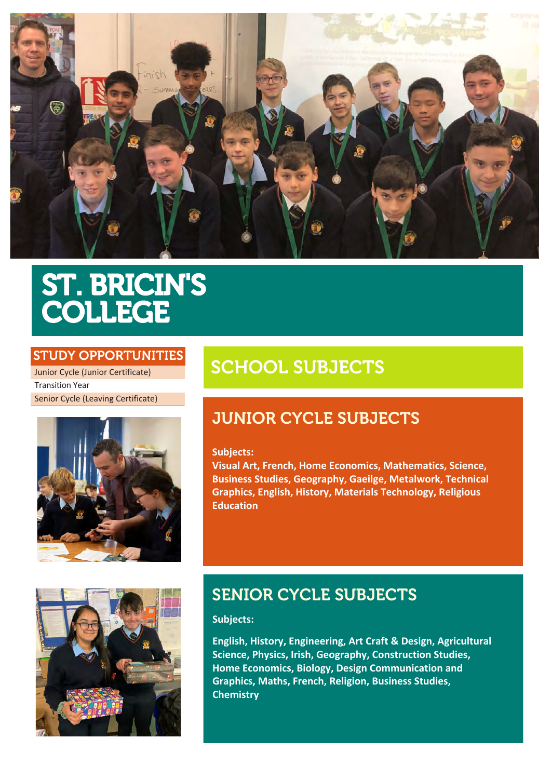

# ST. BRICIN'S COLLEGE

### STUDY OPPORTUNITIES

Junior Cycle (Junior Certificate) Transition Year Senior Cycle (Leaving Certificate)



# SCHOOL SUBJECTS

# JUNIOR CYCLE SUBJECTS

### **Subjects:**

**Visual Art, French, Home Economics, Mathematics, Science, Business Studies, Geography, Gaeilge, Metalwork, Technical Graphics, English, History, Materials Technology, Religious Education**



# SENIOR CYCLE SUBJECTS

### **Subjects:**

**English, History, Engineering, Art Craft & Design, Agricultural Science, Physics, Irish, Geography, Construction Studies, Home Economics, Biology, Design Communication and Graphics, Maths, French, Religion, Business Studies, Chemistry**